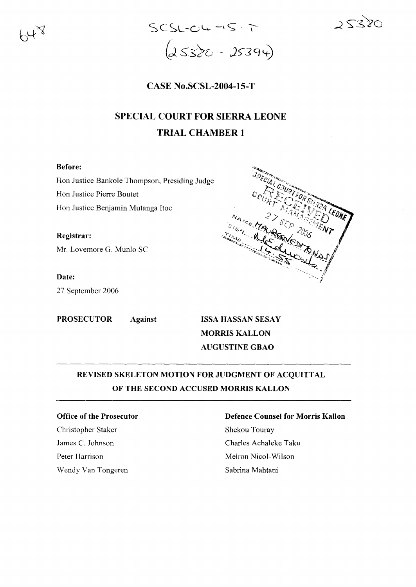



# CASE No.SCSL-2004-15-T

# SPECIAL COURT FOR SIERRA LEONE TRIAL CHAMBER 1

## Before:

Hon Justice Bankole Thompson, Presiding Judge Hon Justice Pierre Boutet Hon Justice Benjamin Mutanga Itoe

Registrar: Mr. Lovemore G. Munlo SC

Date:

27 September 2006



PROSECUTOR Against ISSA HASSAN SESAY MORRIS KALLON AUGUSTINE GBAO

# REVISED SKELETON MOTION FOR JUDGMENT OF ACQUITTAL OF THE SECOND ACCUSED MORRIS KALLON

### Office of the Prosecutor

Christopher Staker James C. Johnson Peter Harrison Wendy Van Tongeren

# Defence Counsel for Morris Kallon

Shekou Touray Charles Achaleke Taku Melron Nicol-Wilson Sabrina Mahtani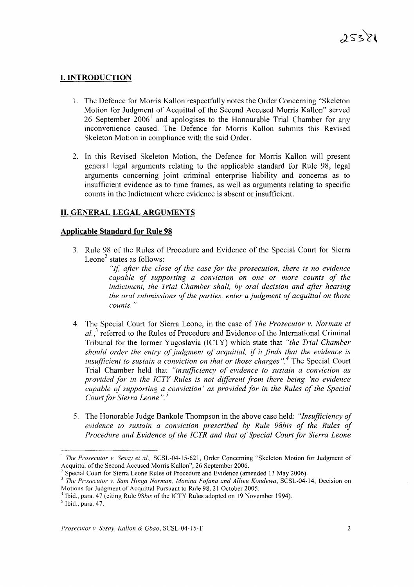# **I. INTRODUCTION**

- 1. The Defence for Morris Kallon respectfully notes the Order Concerning "Skeleton Motion for Judgment of Acquittal of the Second Accused Morris Kallon" served 26 September  $2006<sup>1</sup>$  and apologises to the Honourable Trial Chamber for any inconvenience caused. The Defence for Morris Kallon submits this Revised Skeleton Motion in compliance with the said Order.
- 2. In this Revised Skeleton Motion, the Defence for Morris Kallon will present general legal arguments relating to the applicable standard for Rule 98, legal arguments concerning joint criminal enterprise liability and concerns as to insufficient evidence as to time frames, as well as arguments relating to specific counts in the Indictment where evidence is absent or insufficient.

# **II. GENERAL LEGAL ARGUMENTS**

# **Applicable Standard for Rule 98**

3. Rule 98 of the Rules of Procedure and Evidence of the Special Court for Sierra Leone<sup>2</sup> states as follows:

> "If, *after the close of the case for the prosecution, there is no evidence capable of supporting a conviction on one or more counts of the indictment, the Trial Chamber shall, by oral decision and after hearing the oral submissions ofthe parties, enter a judgment ofacquittal on those counts. "*

- 4. The Special Court for Sierra Leone, in the case of *The Prosecutor v. Norman et al.,<sup>3</sup>* referred to the Rules of Procedure and Evidence ofthe International Criminal Tribunal for the former Yugoslavia (ICTY) which state that *"the Trial Chamber should order the entry ofjudgment of acquittal,* if *it finds that the evidence is insufficient to sustain a conviction on that or those charges* ".4 The Special Court Trial Chamber held that *"insufficiency of evidence to sustain a conviction as provided for in the ICTY Rules is not different from there being 'no evidence capable ofsupporting a conviction' as provided for in the Rules of the Special Court for Sierra Leone* ".5
- 5. The Honorable Judge Bankole Thompson in the above case held: *"Insufficiency of evidence to sustain a conviction prescribed by Rule 98bis of the Rules of Procedure and Evidence of the ICTR and that of Special Court for Sierra Leone*

<sup>1</sup> *The Prosecutor v. Sesay et aI.,* SCSL-04-15-621, Order Concerning "Skeleton Motion for Judgment of Acquittal of the Second Accused Morris Kallon", 26 September 2006.

<sup>&</sup>lt;sup>2</sup> Special Court for Sierra Leone Rules of Procedure and Evidence (amended 13 May 2006).

*<sup>3</sup> The Prosecutor v. Sam Hinga Norman, Monina Fo/ana and Allieu Kondewa,* SCSL-04-14, Decision on Motions for Judgment of Acquittal Pursuant to Rule 98, 21 October 2005.

<sup>&</sup>lt;sup>4</sup> Ibid., para. 47 (citing Rule 98bis of the ICTY Rules adopted on 19 November 1994).

 $<sup>5</sup>$  Ibid., para. 47.</sup>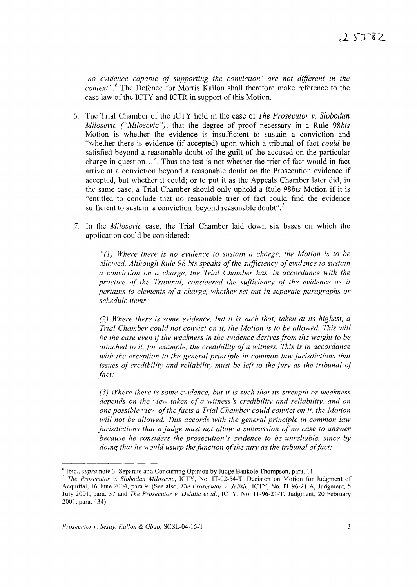*no evidence capable of supporting the conviction' are not different in the context*".<sup>6</sup> The Defence for Morris Kallon shall therefore make reference to the case law of the ICTY and ICTR in support of this Motion.

- 6. The Trial Chamber of the ICTY held in the case of *The Prosecutor* v. *Slobodan Milosevic ("Milosevic"),* that the degree of proof necessary in a Rule *98bis* Motion is whether the evidence is insufficient to sustain a conviction and "whether there is evidence (if accepted) upon which a tribunal of fact *could* be satisfied beyond a reasonable doubt of the guilt of the accused on the particular charge in question...". Thus the test is not whether the trier of fact would in fact arrive at a conviction beyond a reasonable doubt on the Prosecution evidence if accepted, but whether it could; or to put it as the Appeals Chamber later did, in the same case, a Trial Chamber should only uphold a Rule *98bis* Motion if it is "entitled to conclude that no reasonable trier of fact could find the evidence sufficient to sustain a conviction beyond reasonable doubt".<sup>7</sup>
- 7. In the *Milosevic* case, the Trial Chamber laid down six bases on which the application could be considered:

"(l) *Where there* is *no evidence to sustain a charge, the Motion is to be allowed. Although Rule* 98 *bis speaks ofthe sufficiency ofevidence to sustain a conviction on a charge, the Trial Chamber has, in accordance with the practice of the Tribunal, considered the sufficiency of the evidence as it pertains to elements of a charge, whether set out in separate paragraphs or schedule items;*

*(2) Where there is some evidence, but it is such that, taken at its highest, a Trial Chamber could not convict on it, the Motion is to be allowed. This will be the case even* if*the weakness in the evidence derives from the weight to be attached to it, for example, the credibility ofa witness. This is in accordance with the exception to the general principle in common law jurisdictions that issues of credibility and reliability must be left to the jury as the tribunal of fact;*

*(3) Where there* is *some evidence, but it is such that its strength or weakness depends on the view taken of a witness's credibility and reliability, and on one possible view ofthe facts a Trial Chamber could convict on it, the Motion will not be allowed. This accords with the general principle in common law jurisdictions that a judge must not allow a submission of no case to answer because he considers the prosecution's evidence to be unreliable, since by doing that he would usurp the function of the jury as the tribunal of fact;* 

<sup>&</sup>lt;sup>6</sup> Ibid., *supra* note 3, Separate and Concurring Opinion by Judge Bankole Thompson, para. 11.

<sup>7</sup> *The Prosecutor* v. *Slobodan Milosevic,* ICTY, No. IT-02-54-T, Decision on Motion for Judgment of Acquittal, 16 June 2004, para 9. (See also, *The Prosecutor* v. *Jelisic,* ICTY, No. IT-96-21-A, Judgment, 5 July 2001, para. 37 and *The Prosecutor* v. *Delalic et al.,* ICTY, No. IT-96-21-T, Judgment, 20 February 2001, para. 434).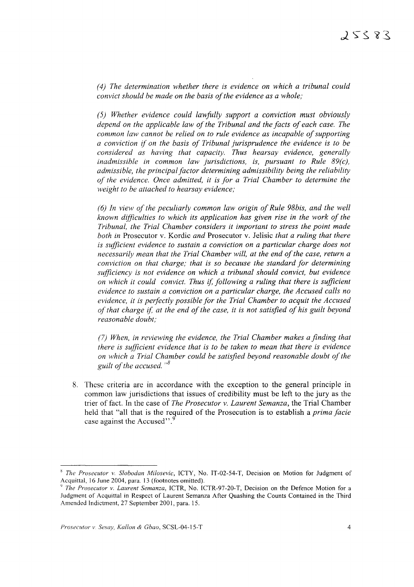*(4) The determination whether there is evidence on which a tribunal could convict should be made on the basis ofthe evidence as a whole;*

*(5) Whether evidence could lawfully support a conviction must obviously depend on the applicable law ofthe Tribunal and the facts of each case. The common law cannot be relied on to rule evidence as incapable ofsupporting a conviction if on the basis of Tribunal jurisprudence the evidence is to be considered as having that capacity. Thus hearsay evidence, generally inadmissible in common law jurisdictions, is, pursuant to Rule 89(c), admissible, the principalfactor determining admissibility being the reliability of the evidence. Once admitted, it is for a Trial Chamber to determine the weight to be attached to hearsay evidence;*

*(6) In view ofthe peculiarly common law origin ofRule 98bis, and the well known difficulties to which its application has given rise in the work of the Tribunal, the Trial Chamber considers it important to stress the point made both in* Prosecutor v. Kordic *and* Prosecutor v. Jelisic *that a ruling that there is sufficient evidence to sustain a conviction on a particular charge does not necessarily mean that the Trial Chamber will, at the end ofthe case, return a conviction on that charge; that is so because the standard for determining sufficiency is not evidence on which a tribunal should convict, but evidence on which it could convict. Thus* if, *following a ruling that there is sufficient evidence to sustain a conviction on a particular charge, the Accused calls no evidence, it is perfectly possible for the Trial Chamber to acquit the Accused of that charge* if, *at the end ofthe case, it is not satisfied of his guilt beyond reasonable doubt;*

*(7) When, in reviewing the evidence, the Trial Chamber makes a finding that there is sufficient evidence that is to be taken to mean that there is evidence on which a Trial Chamber could be satisfied beyond reasonable doubt ofthe guilt of the accused.* "<sup>8</sup>

8. These criteria are in accordance with the exception to the general principle in common law jurisdictions that issues of credibility must be left to the jury as the trier of fact. In the case of *The Prosecutor* v. *Laurent Semanza,* the Trial Chamber held that "all that is the required of the Prosecution is to establish a *prima facie* case against the Accused".<sup>9</sup>

*The Prosecutor v. Slobodan Milosevic,* ICTY, No. IT-02-54-T, Decision on Motion for Judgment of Acquittal, 16 June 2004, para. 13 (footnotes omitted).

<sup>9</sup> *The Prosecutor v. Laurent Semanza,* ICTR, No. ICTR-97-20-T, Decision on the Defence Motion for a Judgment of Acquittal in Respect of Laurent Semanza After Quashing the Counts Contained in the Third Amended Indictment, 27 September 2001, para. 15.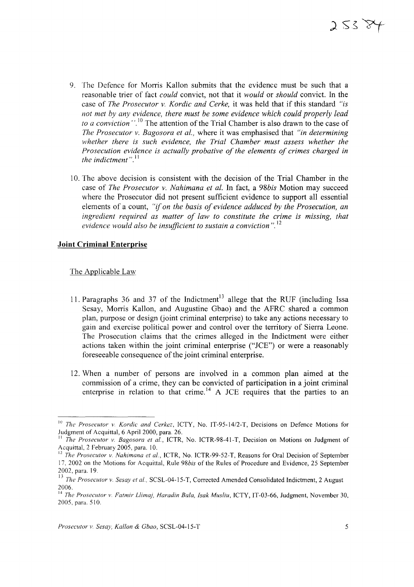- 9. The Defence for Morris Kallon submits that the evidence must be such that a reasonable trier of fact *could* convict, not that it *would* or *should* convict. In the case of *The Prosecutor v. Kordic and Cerke,* it was held that if this standard *"is not met by any evidence, there must be some evidence which could properly lead to a conviction*<sup>", 10</sup> The attention of the Trial Chamber is also drawn to the case of *The Prosecutor v. Bagosora et al.,* where it was emphasised that *"in determining whether there is such evidence, the Trial Chamber must assess whether the Prosecution evidence is actually probative of the elements of crimes charged in the indictment*".<sup>11</sup>
- 10. The above decision is consistent with the decision of the Trial Chamber in the case of *The Prosecutor v. Nahimana et al.* In fact, a *98bis* Motion may succeed where the Prosecutor did not present sufficient evidence to support all essential elements of a count, *"if on the basis of evidence adduced by the Prosecution, an ingredient required as matter of law to constitute the crime is missing, that evidence would also be insufficient to sustain a conviction*".<sup>12</sup>

## **Joint Criminal Enterprise**

The Applicable Law

- 11. Paragraphs 36 and 37 of the Indictment<sup>13</sup> allege that the RUF (including Issa Sesay, Morris Kallon, and Augustine Gbao) and the AFRC shared a common plan, purpose or design (joint criminal enterprise) to take any actions necessary to gain and exercise political power and control over the territory of Sierra Leone. The Prosecution claims that the crimes alleged in the Indictment were either actions taken within the joint criminal enterprise ("lCE") or were a reasonably foreseeable consequence of the joint criminal enterprise.
- 12. When a number of persons are involved in a common plan aimed at the commission of a crime, they can be convicted of participation in a joint criminal enterprise in relation to that crime.<sup>14</sup> A JCE requires that the parties to an

<sup>10</sup> *The Prosecutor v. Kordic and Cerkez,* ICTY, No. IT-95- *1412-T,* Decisions on Defence Motions for Judgment of Acquittal, 6 April 2000, para. 26.

II *The Prosecutor v. Bagosora et a!.,* ICTR, No. ICTR-98-41-T, Decision on Motions on Judgment of Acquittal, 2 February 2005, para. 10.

<sup>12</sup> *The Prosecutor v. Nahimana et a!.,* ICTR, No. ICTR-99-52-T, Reasons for Oral Decision of September 17, 2002 on the Motions for Acquittal, Rule *98bis* of the Rules of Procedure and Evidence, 25 September 2002, para. 19.

<sup>13</sup> *The Prosecutor v. Sesay et a!.,* SCSL-04-15-T, Corrected Amended Consolidated Indictment, 2 August 2006.

<sup>14</sup> *The Prosecutor v. Fatmir Llimaj, Haradin Bala, Isak Musliu,* ICTY, IT-03-66, Judgment, November 30, 2005, para. 510.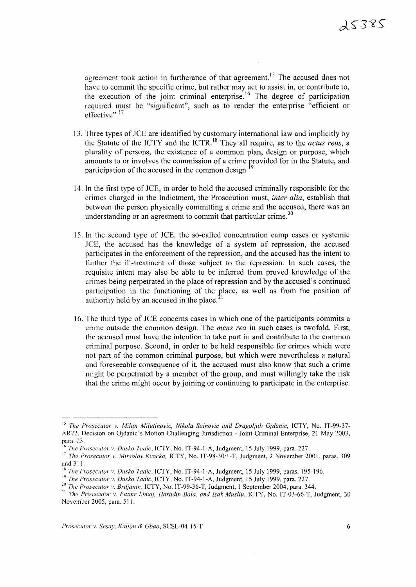agreement took action in furtherance of that agreement.<sup>15</sup> The accused does not have to commit the specific crime, but rather may act to assist in, or contribute to, the execution of the joint criminal enterprise.<sup>16</sup> The degree of participation required must be "significant", such as to render the enterprise "efficient or effective". $17$ 

- 13. Three types of *lCE* are identified by customary international law and implicitly by the Statute of the ICTY and the ICTR. <sup>18</sup> They all require, as to the *actus reus,* a plurality of persons, the existence of a common plan, design or purpose, which amounts to or involves the commission of a crime provided for in the Statute, and participation of the accused in the common design. <sup>9</sup>
- 14. In the first type of *lCE,* in order to hold the accused criminally responsible for the crimes charged in the Indictment, the Prosecution must, *inter alia,* establish that between the person physically committing a crime and the accused, there was an understanding or an agreement to commit that particular crime.<sup>20</sup>
- 15. In the second type of *lCE,* the so-called concentration camp cases or systemic *lCE,* the accused has the knowledge of a system of repression, the accused participates in the enforcement of the repression, and the accused has the intent to further the ill-treatment of those subject to the repression. In such cases, the requisite intent may also be able to be inferred from proved knowledge of the crimes being perpetrated in the place ofrepression and by the accused's continued participation in the functioning of the place, as well as from the position of authority held by an accused in the place.
- 16. The third type of *lCE* concerns cases in which one of the participants commits a crime outside the common design. The *mens rea* in such cases is twofold. First, the accused must have the intention to take part in and contribute to the common criminal purpose. Second, in order to be held responsible for crimes which were not part of the common criminal purpose, but which were nevertheless a natural and foreseeable consequence of it, the accused must also know that such a crime might be perpetrated by a member of the group, and must willingly take the risk that the crime might occur by joining or continuing to participate in the enterprise.

<sup>15</sup> *The Prosecutor v. Milan Milutinovic, Nikola Sainovic and Dragoljub Ojdanic,* ICTY, No. IT-99-37- AR72. Decision on Ojdanic's Motion Challenging Jurisdiction - Joint Criminal Enterprise, 21 May 2003, para. 23.

<sup>16</sup> *The Prosecutor v. Dusko Ta{tic.* ICTY, No. IT-94-I-A, Judgment, 15 July 1999, para. 227.

<sup>&</sup>lt;sup>17</sup> The Prosecutor v. Mirsolav Kvocka, ICTY, No. IT-98-30/1-T, Judgment, 2 November 2001, paras. 309 and 311.

<sup>18</sup> *The Prosecutor v. Dusko Tadic,* ICTY, No. IT-94-I-A, Judgment, 15 July 1999, paras. 195-196.

<sup>19</sup> *The Prosecutor v. Dusko Tadic,* ICTY, No. IT-94-I-A, Judgment, 15 July 1999, para. 227.

*<sup>20</sup> The Prosecutor v. Brdjanin,* ICTY, No. IT-99-36-T, Judgment, 1 September 2004, para. 344.

<sup>21</sup> *The Prosecutor v. Fatmr Limaj, Haradin Bala, and Isak Musliu,* ICTY, No. IT-03-66-T, Judgment, 30 November 2005, para. 511.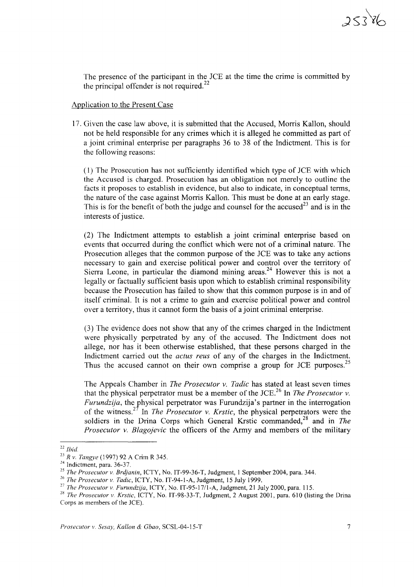The presence of the participant in the lCE at the time the crime is committed by the principal offender is not required. $^{22}$ 

#### Application to the Present Case

17. Given the case law above, it is submitted that the Accused, Morris Kallon, should not be held responsible for any crimes which it is alleged he committed as part of a joint criminal enterprise per paragraphs 36 to 38 of the Indictment. This is for the following reasons:

(1) The Prosecution has not sufficiently identified which type of lCE with which the Accused is charged. Prosecution has an obligation not merely to outline the facts it proposes to establish in evidence, but also to indicate, in conceptual terms, the nature of the case against Morris Kallon. This must be done at an early stage. This is for the benefit of both the judge and counsel for the accused<sup>23</sup> and is in the interests of justice.

(2) The Indictment attempts to establish a joint criminal enterprise based on events that occurred during the conflict which were not of a criminal nature. The Prosecution alleges that the common purpose of the *lCE* was to take any actions necessary to gain and exercise political power and control over the territory of Sierra Leone, in particular the diamond mining areas.<sup>24</sup> However this is not a legally or factually sufficient basis upon which to establish criminal responsibility because the Prosecution has failed to show that this common purpose is in and of itself criminal. It is not a crime to gain and exercise political power and control over a territory, thus it cannot form the basis of a joint criminal enterprise.

(3) The evidence does not show that any of the crimes charged in the Indictment were physically perpetrated by any of the accused. The Indictment does not allege, nor has it been otherwise established, that these persons charged in the Indictment carried out the *actus reus* of any of the charges in the Indictment. Thus the accused cannot on their own comprise a group for JCE purposes.<sup>25</sup>

The Appeals Chamber in *The Prosecutor v. Tadic* has stated at least seven times that the physical perpetrator must be a member of the JCE.<sup>26</sup> In *The Prosecutor*  $v$ . *Furundzija*, the physical perpetrator was Furundzija's partner in the interrogation of the witness.<sup>27</sup> In *The Prosecutor v. Krstic*, the physical perpetrators were the soldiers in the Drina Corps which General Krstic commanded,<sup>28</sup> and in *The Prosecutor v. Blagojevic* the officers of the Army and members of the military

<sup>22</sup> *Ibid*

*<sup>23</sup> R v. Tangye* (1997) 92 A Crim R 345.

<sup>&</sup>lt;sup>24</sup> Indictment, para. 36-37.

*<sup>25</sup> The Prosecutor v. Brdjanin,* ICTY, No. IT-99-36-T, Judgment, 1 September 2004, para. 344.

<sup>26</sup> *The Prosecutor v. Tadic,* ICTY, No. IT-94-1-A, Judgment, 15 July 1999.

*<sup>27</sup> The Prosecutor v. Furundzija,* ICTY, No. IT-95-17/1-A, Judgment, 21 July 2000, para. 115.

<sup>&</sup>lt;sup>28</sup> *The Prosecutor v. Krstic*, ICTY, No. IT-98-33-T, Judgment, 2 August 2001, para. 610 (listing the Drina Corps as members of the JCE).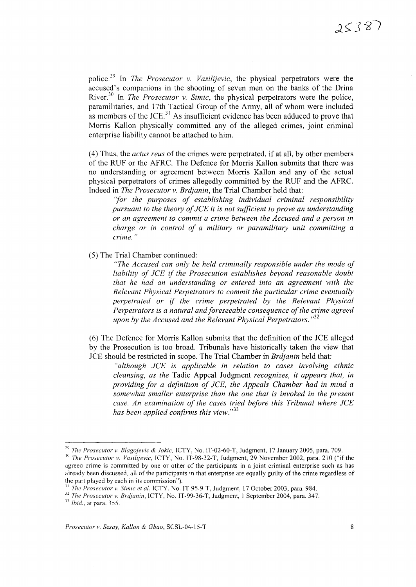police. <sup>29</sup> In *The Prosecutor* v. *Vasilijevic,* the physical perpetrators were the accused's companions in the shooting of seven men on the banks of the Drina River.<sup>30</sup> In *The Prosecutor* v. *Simic*, the physical perpetrators were the police, paramilitaries, and 17th Tactical Group of the Army, all of whom were included as members of the JCE.<sup>31</sup> As insufficient evidence has been adduced to prove that Morris Kallon physically committed any of the alleged crimes, joint criminal enterprise liability cannot be attached to him.

(4) Thus, the *actus reus* of the crimes were perpetrated, if at all, by other members of the RUF or the AFRC. The Defence for Morris Kallon submits that there was no understanding or agreement between Morris Kallon and any of the actual physical perpetrators of crimes allegedly committed by the RUF and the AFRC. Indeed in *The Prosecutor* v. *Brdjanin,* the Trial Chamber held that:

*"for the purposes of establishing individual criminal responsibility pursuant to the theory of JCE it is not sufficient to prove an understanding or an agreement to commit a crime between the Accused and a person in charge or in control of a military or paramilitary unit committing a crime.*

(5) The Trial Chamber continued:

*"The Accused can only be held criminally responsible under the mode of liability of lCE* if *the Prosecution establishes beyond reasonable doubt that he had an understanding or entered into an agreement with the Relevant Physical Perpetrators to commit the particular crime eventually perpetrated or* if *the crime perpetrated by the Relevant Physical Perpetrators is a natural and foreseeable consequence of the crime agreed upon by the Accused and the Relevant Physical Perpetrators.*  $132$ 

(6) The Defence for Morris Kallon submits that the definition of the JCE alleged by the Prosecution is too broad. Tribunals have historically taken the view that JCE should be restricted in scope. The Trial Chamber in *Brdjanin* held that:

*"although lCE is applicable in relation to cases involving ethnic cleansing, as the* Tadic Appeal Judgment *recognizes, it appears that, in providing for a definition of lCE, the Appeals Chamber had in mind a somewhat smaller enterprise than the one that is invoked in the present case. An examination of the cases tried before this Tribunal where lCE has been applied confirms this view.*"<sup>33</sup>

*<sup>29</sup> The Prosecutor v. Blagojevic* & *Jokic,* ICTY, No. IT-02-60-T, Judgment, 17 January 2005, para. 709.

*<sup>30</sup> The Prosecutor v. Vasilijevic,* ICTY, No. IT-98-32-T, Judgment, 29 November 2002, para. 210 ("if the agreed crime is committed by one or other of the participants in a joint criminal enterprise such as has already been discussed, all of the participants in that enterprise are equally guilty of the crime regardless of the part played by each in its commission").

<sup>31</sup> *The Prosecutor v. Simic et ai,* ICTY, No. IT-95-9-T, Judgment, 17 October 2003, para. 984.

*<sup>.12</sup> The Prosecutor v. Brdjanin,* ICTY, No. IT-99-36-T, Judgment, I September 2004, para. 347. .13 *Ibid.,* at para. 355.

*Prosecutor v. Sesay, Kallon* & *Gbao,* SCSL-04-15-T 8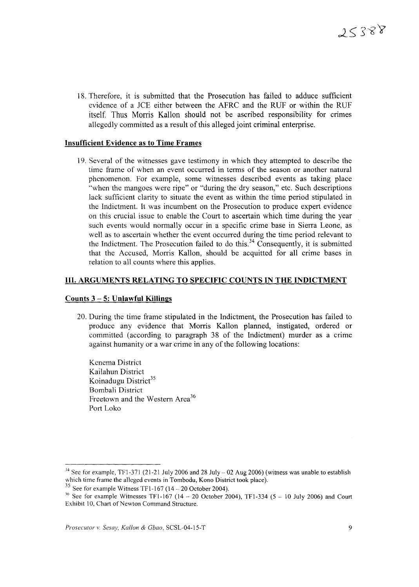18. Therefore, it is submitted that the Prosecution has failed to adduce sufficient evidence of a *lCE* either between the AFRC and the RUF or within the RUF itself. Thus Morris Kallon should not be ascribed responsibility for crimes allegedly committed as a result of this alleged joint criminal enterprise.

## Insufficient Evidence as to Time Frames

19. Several of the witnesses gave testimony in which they attempted to describe the time frame of when an event occurred in tenns of the season or another natural phenomenon. For example, some witnesses described events as taking place "when the mangoes were ripe" or "during the dry season," etc. Such descriptions lack sufficient clarity to situate the event as within the time period stipulated in the Indictment. It was incumbent on the Prosecution to produce expert evidence on this crucial issue to enable the Court to ascertain which time during the year such events would normally occur in a specific crime base in Sierra Leone, as well as to ascertain whether the event occurred during the time period relevant to the Indictment. The Prosecution failed to do this.<sup>34</sup> Consequently, it is submitted that the Accused, Morris Kallon, should be acquitted for all crime bases in relation to all counts where this applies.

### III. ARGUMENTS RELATING TO SPECIFIC COUNTS IN THE INDICTMENT

#### Counts  $3 - 5$ : Unlawful Killings

20. During the time frame stipulated in the Indictment, the Prosecution has failed to produce any evidence that Morris Kallon planned, instigated, ordered or committed (according to paragraph 38 of the Indictment) murder as a crime against humanity or a war crime in any of the following locations:

Kenema District Kailahun District Koinadugu District<sup>35</sup> Bombali District Freetown and the Western Area<sup>36</sup> Port Loko

<sup>&</sup>lt;sup>34</sup> See for example, TF1-371 (21-21 July 2006 and 28 July  $-$  02 Aug 2006) (witness was unable to establish which time frame the alleged events in Tombodu, Kono District took place).

 $33$  See for example Witness TF1-167 (14 – 20 October 2004).

<sup>&</sup>lt;sup>36</sup> See for example Witnesses TF1-167 (14 - 20 October 2004), TF1-334 (5 - 10 July 2006) and Court Exhibit 10, Chart of Newton Command Structure.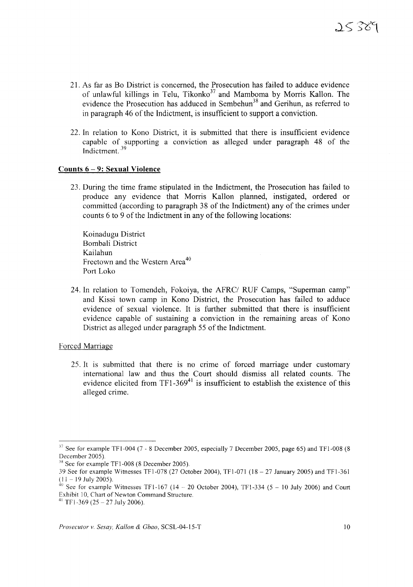- 21. As far as Bo District is concerned, the Prosecution has failed to adduce evidence of unlawful killings in Telu, Tikonko<sup>37</sup> and Mamboma by Morris Kallon. The evidence the Prosecution has adduced in Sembehun<sup>38</sup> and Gerihun, as referred to in paragraph 46 of the Indictment, is insufficient to support a conviction.
- 22. In relation to Kono District, it is submitted that there is insufficient evidence capable of supporting a conviction as alleged under paragraph 48 of the Indictment. <sup>39</sup>

#### **Counts 6 - 9: Sexual Violence**

23. During the time frame stipulated in the Indictment, the Prosecution has failed to produce any evidence that Morris Kallon planned, instigated, ordered or committed (according to paragraph 38 of the Indictment) any of the crimes under counts 6 to 9 of the Indictment in any of the following locations:

Koinadugu District Bombali District Kailahun Freetown and the Western Area<sup>40</sup> Port Loko

24. **In** relation to Tomendeh, Fokoiya, the AFRC/ RUF Camps, "Superman camp" and Kissi town camp in Kono District, the Prosecution has failed to adduce evidence of sexual violence. It is further submitted that there is insufficient evidence capable of sustaining a conviction in the remaining areas of Kono District as alleged under paragraph 55 of the Indictment.

#### Forced Marriage

25. It is submitted that there is no crime of forced marriage under customary international law and thus the Court should dismiss all related counts. The evidence elicited from  $TF1-369<sup>41</sup>$  is insufficient to establish the existence of this alleged crime.

 $37$  See for example TF1-004 (7 - 8 December 2005, especially 7 December 2005, page 65) and TF1-008 (8 December 2005).

<sup>&</sup>lt;sup>38</sup> See for example TF1-008 (8 December 2005).

<sup>39</sup> See for example Witnesses TFI-078 (27 October 2004), TFI-071 (18 - 27 January 2005) and TFI-361  $(11 - 19$  July 2005).

 $40$  See for example Witnesses TF1-167 (14 – 20 October 2004), TF1-334 (5 – 10 July 2006) and Court Exhibit 10, Chart of Newton Command Structure.

<sup>&</sup>lt;sup>41</sup> TF1-369 (25 – 27 July 2006).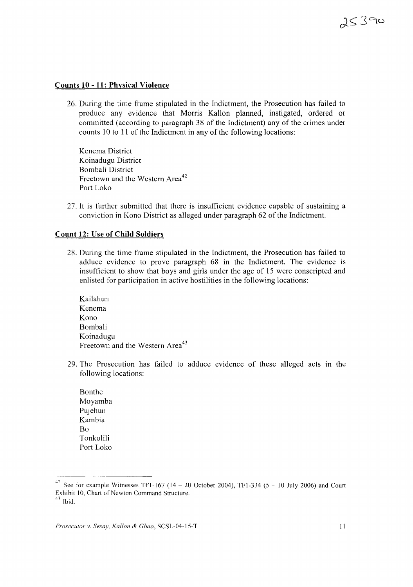# **Counts 10 - 11: Physical Violence**

26. During the time frame stipulated in the Indictment, the Prosecution has failed to produce any evidence that Morris Kallon planned, instigated, ordered or committed (according to paragraph 38 of the Indictment) any of the crimes under counts 10 to 11 of the Indictment in any of the following locations:

Kenema District Koinadugu District Bombali District Freetown and the Western Area<sup>42</sup> Port Loko

27. It is further submitted that there is insufficient evidence capable of sustaining a conviction in Kono District as alleged under paragraph 62 of the Indictment.

### **Count 12: Use of Child Soldiers**

- 28. During the time frame stipulated in the Indictment, the Prosecution has failed to adduce evidence to prove paragraph 68 in the Indictment. The evidence is insufficient to show that boys and girls under the age of 15 were conscripted and enlisted for participation in active hostilities in the following locations:
	- Kailahun Kenema Kono Bombali Koinadugu Freetown and the Western Area<sup>43</sup>
- 29. The Prosecution has failed to adduce evidence of these alleged acts in the following locations:
	- Bonthe Moyamba Pujehun Kambia Bo Tonkolili Port Loko

<sup>&</sup>lt;sup>42</sup> See for example Witnesses TF1-167 (14 – 20 October 2004), TF1-334 (5 – 10 July 2006) and Court Exhibit 10, Chart of Newton Command Structure.  $43$  Ibid.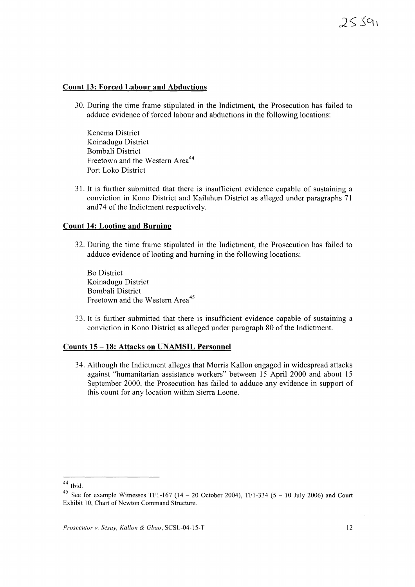# $25391$

#### **Count 13: Forced Labour and Abductions**

30. During the time frame stipulated in the Indictment, the Prosecution has failed to adduce evidence of forced labour and abductions in the following locations:

Kenema District Koinadugu District Bombali District Freetown and the Western Area<sup>44</sup> Port Loko District

31. It is further submitted that there is insufficient evidence capable of sustaining a conviction in Kono District and Kailahun District as alleged under paragraphs 71 and74 of the Indictment respectively.

# **Count 14: Looting and Burning**

32. During the time frame stipulated in the Indictment, the Prosecution has failed to adduce evidence of looting and burning in the following locations:

Bo District Koinadugu District Bombali District Freetown and the Western Area<sup>45</sup>

33. It is further submitted that there is insufficient evidence capable of sustaining a conviction in Kono District as alleged under paragraph 80 of the Indictment.

#### **Counts 15** -18: **Attacks on UNAMSIL Personnel**

34. Although the Indictment alleges that Morris Kallon engaged in widespread attacks against "humanitarian assistance workers" between 15 April 2000 and about 15 September 2000, the Prosecution has failed to adduce any evidence in support of this count for any location within Sierra Leone.

 $^{44}$  Ibid.

<sup>&</sup>lt;sup>45</sup> See for example Witnesses TF1-167 (14 – 20 October 2004), TF1-334 (5 – 10 July 2006) and Court Exhibit 10, Chart of Newton Command Structure.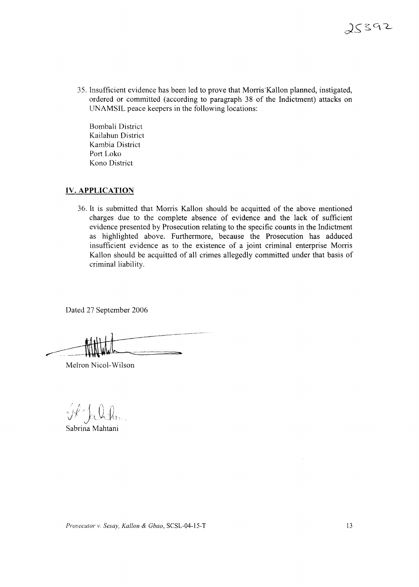35. Insufficient evidence has been led to prove that Morris'Kallon planned, instigated, ordered or committed (according to paragraph 38 of the Indictment) attacks on UNAMSIL peace keepers in the following locations:

Bombali District Kailahun District Kambia District Port Loko Kono District

# **IV. APPLICATION**

36. It is submitted that Morris Kallon should be acquitted of the above mentioned charges due to the complete absence of evidence and the lack of sufficient evidence presented by Prosecution relating to the specific counts in the Indictment as highlighted above. Furthermore, because the Prosecution has adduced insufficient evidence as to the existence of a joint criminal enterprise Morris Kallon should be acquitted of all crimes allegedly committed under that basis of criminal liability.

Dated 27 September 2006

Melron Nicol-Wilson

V Jalik

Sabrina Mahtani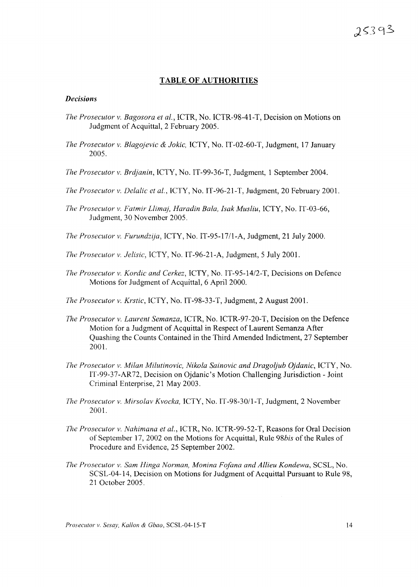# **TABLE OF AUTHORITIES**

# *Decisions*

- *The Prosecutor* v. *Bagosora et al.,* ICTR, No. ICTR-98-41-T, Decision on Motions on Judgment of Acquittal, 2 February 2005.
- *The Prosecutor* v. *Blagojevic* & *Jokic,* ICTY, No. IT-02-60-T, Judgment, 17 January 2005.
- *The Prosecutor* v. *Brdjanin,* ICTY, No. IT-99-36-T, Judgment, 1 September 2004.
- *The Prosecutor* v. *Delalic et al.,* ICTY, No. IT-96-21-T, Judgment, 20 February 2001.
- *The Prosecutor* v. *Fatmir Llimaj, Haradin Bala, Isak Musliu,* ICTY, No. IT-03-66, Judgment, 30 November 2005.
- *The Prosecutor* v. *Furundzija,* ICTY, No. IT-95-17/l-A, Judgment, 21 July 2000.
- *The Prosecutor v. Jelisic, ICTY, No. IT-96-21-A, Judgment, 5 July 2001.*
- *The Prosecutor* v. *Kordic and Cerkez,* ICTY, No. IT-95-14/2-T, Decisions on Defence Motions for Judgment of Acquittal, 6 April 2000.
- *Ine Prosecutor* v. *Krstic,* ICTY, No. IT-98-33-T, Judgment, 2 August 2001.
- *The Prosecutor* v. *Laurent Semanza,* ICTR, No. ICTR-97-20-T, Decision on the Defence Motion for a Judgment of Acquittal in Respect of Laurent Semanza After Quashing the Counts Contained in the Third Amended Indictment, 27 September 2001.
- *The Prosecutor* v. *Milan Milutinovic, Nikola Sainovic and Dragoljub Ojdanic,* ICTY, No. IT-99-37-AR72, Decision on Ojdanic's Motion Challenging Jurisdiction - Joint Criminal Enterprise, 21 May 2003.
- *The Prosecutor* v. *Mirsolav Kvocka,* ICTY, No. IT-98-30/l-T, Judgment, 2 November 2001.
- *77ze Prosecutor* v. *Nahimana et al.,* ICTR, No. ICTR-99-52-T, Reasons for Oral Decision of September 17, 2002 on the Motions for Acquittal, Rule *98bis* of the Rules of Procedure and Evidence, 25 September 2002.
- *The Prosecutor* v. *Sam Hinga Norman, Monina Fofana and Allieu Kondewa,* SCSL, No. SCSL-04-14, Decision on Motions for Judgment of Acquittal Pursuant to Rule 98, 21 October 2005.